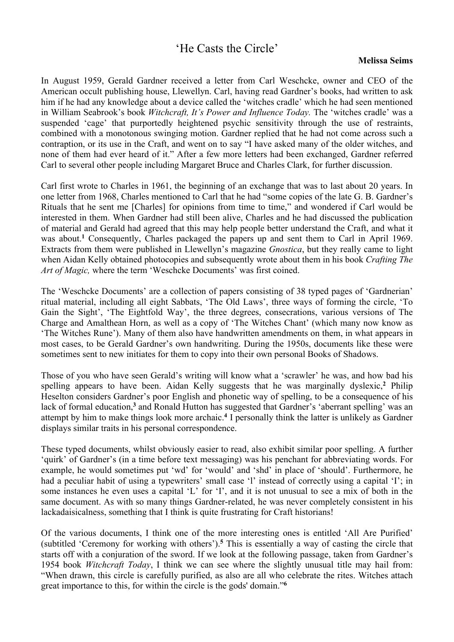## 'He Casts the Circle'

In August 1959, Gerald Gardner received a letter from Carl Weschcke, owner and CEO of the American occult publishing house, Llewellyn. Carl, having read Gardner's books, had written to ask him if he had any knowledge about a device called the 'witches cradle' which he had seen mentioned in William Seabrook's book *Witchcraft, It's Power and Influence Today.* The 'witches cradle' was a suspended 'cage' that purportedly heightened psychic sensitivity through the use of restraints, combined with a monotonous swinging motion. Gardner replied that he had not come across such a contraption, or its use in the Craft, and went on to say "I have asked many of the older witches, and none of them had ever heard of it." After a few more letters had been exchanged, Gardner referred Carl to several other people including Margaret Bruce and Charles Clark, for further discussion.

Carl first wrote to Charles in 1961, the beginning of an exchange that was to last about 20 years. In one letter from 1968, Charles mentioned to Carl that he had "some copies of the late G. B. Gardner's Rituals that he sent me [Charles] for opinions from time to time," and wondered if Carl would be interested in them. When Gardner had still been alive, Charles and he had discussed the publication of material and Gerald had agreed that this may help people better understand the Craft, and what it was about.<sup>1</sup> Consequently, Charles packaged the papers up and sent them to Carl in April 1969. Extracts from them were published in Llewellyn's magazine *Gnostica*, but they really came to light when Aidan Kelly obtained photocopies and subsequently wrote about them in his book *Crafting The Art of Magic,* where the term 'Weschcke Documents' was first coined.

The 'Weschcke Documents' are a collection of papers consisting of 38 typed pages of 'Gardnerian' ritual material, including all eight Sabbats, 'The Old Laws', three ways of forming the circle, 'To Gain the Sight', 'The Eightfold Way', the three degrees, consecrations, various versions of The Charge and Amalthean Horn, as well as a copy of 'The Witches Chant' (which many now know as 'The Witches Rune'). Many of them also have handwritten amendments on them, in what appears in most cases, to be Gerald Gardner's own handwriting. During the 1950s, documents like these were sometimes sent to new initiates for them to copy into their own personal Books of Shadows.

Those of you who have seen Gerald's writing will know what a 'scrawler' he was, and how bad his spelling appears to have been. Aidan Kelly suggests that he was marginally dyslexic, **<sup>2</sup>** Philip Heselton considers Gardner's poor English and phonetic way of spelling, to be a consequence of his lack of formal education, **<sup>3</sup>** and Ronald Hutton has suggested that Gardner's 'aberrant spelling' was an attempt by him to make things look more archaic. **<sup>4</sup>** I personally think the latter is unlikely as Gardner displays similar traits in his personal correspondence.

These typed documents, whilst obviously easier to read, also exhibit similar poor spelling. A further 'quirk' of Gardner's (in a time before text messaging) was his penchant for abbreviating words. For example, he would sometimes put 'wd' for 'would' and 'shd' in place of 'should'. Furthermore, he had a peculiar habit of using a typewriters' small case 'l' instead of correctly using a capital 'I'; in some instances he even uses a capital 'L' for 'I', and it is not unusual to see a mix of both in the same document. As with so many things Gardner-related, he was never completely consistent in his lackadaisicalness, something that I think is quite frustrating for Craft historians!

Of the various documents, I think one of the more interesting ones is entitled 'All Are Purified' (subtitled 'Ceremony for working with others'). **<sup>5</sup>** This is essentially a way of casting the circle that starts off with a conjuration of the sword. If we look at the following passage, taken from Gardner's 1954 book *Witchcraft Today*, I think we can see where the slightly unusual title may hail from: "When drawn, this circle is carefully purified, as also are all who celebrate the rites. Witches attach great importance to this, for within the circle is the gods' domain."**6**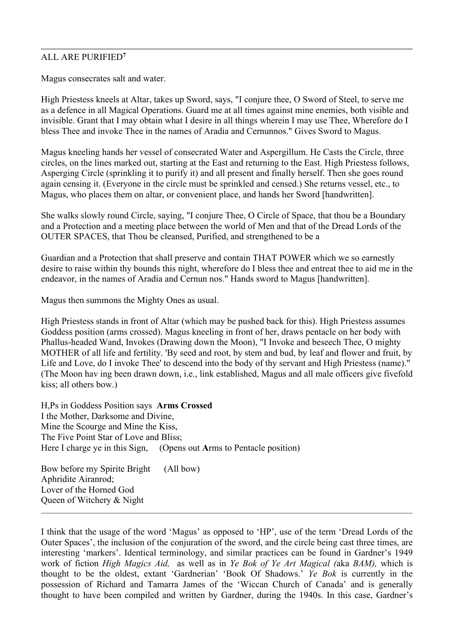## ALL ARE PURIFIED**<sup>7</sup>**

Magus consecrates salt and water.

High Priestess kneels at Altar, takes up Sword, says, "I conjure thee, O Sword of Steel, to serve me as a defence in all Magical Operations. Guard me at all times against mine enemies, both visible and invisible. Grant that I may obtain what I desire in all things wherein I may use Thee, Wherefore do I bless Thee and invoke Thee in the names of Aradia and Cernunnos." Gives Sword to Magus.

Magus kneeling hands her vessel of consecrated Water and Aspergillum. He Casts the Circle, three circles, on the lines marked out, starting at the East and returning to the East. High Priestess follows, Asperging Circle (sprinkling it to purify it) and all present and finally herself. Then she goes round again censing it. (Everyone in the circle must be sprinkled and censed.) She returns vessel, etc., to Magus, who places them on altar, or convenient place, and hands her Sword [handwritten].

She walks slowly round Circle, saying, "I conjure Thee, O Circle of Space, that thou be a Boundary and a Protection and a meeting place between the world of Men and that of the Dread Lords of the OUTER SPACES, that Thou be cleansed, Purified, and strengthened to be a

Guardian and a Protection that shall preserve and contain THAT POWER which we so earnestly desire to raise within thy bounds this night, wherefore do I bless thee and entreat thee to aid me in the endeavor, in the names of Aradia and Cernun nos." Hands sword to Magus [handwritten].

Magus then summons the Mighty Ones as usual.

High Priestess stands in front of Altar (which may be pushed back for this). High Priestess assumes Goddess position (arms crossed). Magus kneeling in front of her, draws pentacle on her body with Phallus-headed Wand, Invokes (Drawing down the Moon), "I Invoke and beseech Thee, O mighty MOTHER of all life and fertility. 'By seed and root, by stem and bud, by leaf and flower and fruit, by Life and Love, do I invoke Thee' to descend into the body of thy servant and High Priestess (name)." (The Moon hav ing been drawn down, i.e., link established, Magus and all male officers give fivefold kiss; all others bow.)

H,Ps in Goddess Position says **Arms Crossed** I the Mother, Darksome and Divine, Mine the Scourge and Mine the Kiss, The Five Point Star of Love and Bliss; Here I charge ye in this Sign, (Opens out **A**rms to Pentacle position)

Bow before my Spirite Bright (All bow) Aphridite Airanrod; Lover of the Horned God Queen of Witchery & Night

I think that the usage of the word 'Magus' as opposed to 'HP', use of the term 'Dread Lords of the Outer Spaces', the inclusion of the conjuration of the sword, and the circle being cast three times, are interesting 'markers'. Identical terminology, and similar practices can be found in Gardner's 1949 work of fiction *High Magics Aid,* as well as in *Ye Bok of Ye Art Magical (*aka *BAM),* which is thought to be the oldest, extant 'Gardnerian' 'Book Of Shadows.' *Ye Bok* is currently in the possession of Richard and Tamarra James of the 'Wiccan Church of Canada' and is generally thought to have been compiled and written by Gardner, during the 1940s. In this case, Gardner's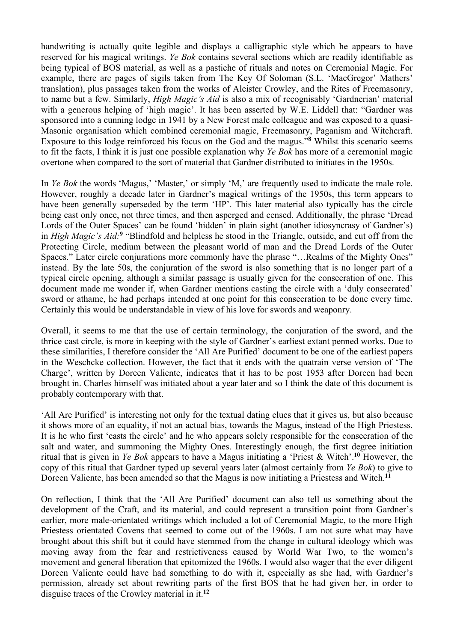handwriting is actually quite legible and displays a calligraphic style which he appears to have reserved for his magical writings. *Ye Bok* contains several sections which are readily identifiable as being typical of BOS material, as well as a pastiche of rituals and notes on Ceremonial Magic. For example, there are pages of sigils taken from The Key Of Soloman (S.L. 'MacGregor' Mathers' translation), plus passages taken from the works of Aleister Crowley, and the Rites of Freemasonry, to name but a few. Similarly, *High Magic's Aid* is also a mix of recognisably 'Gardnerian' material with a generous helping of 'high magic'. It has been asserted by W.E. Liddell that: "Gardner was sponsored into a cunning lodge in 1941 by a New Forest male colleague and was exposed to a quasi-Masonic organisation which combined ceremonial magic, Freemasonry, Paganism and Witchcraft. Exposure to this lodge reinforced his focus on the God and the magus."**<sup>8</sup>** Whilst this scenario seems to fit the facts, I think it is just one possible explanation why *Ye Bok* has more of a ceremonial magic overtone when compared to the sort of material that Gardner distributed to initiates in the 1950s.

In *Ye Bok* the words 'Magus,' 'Master,' or simply 'M,' are frequently used to indicate the male role. However, roughly a decade later in Gardner's magical writings of the 1950s, this term appears to have been generally superseded by the term 'HP'. This later material also typically has the circle being cast only once, not three times, and then asperged and censed. Additionally, the phrase 'Dread Lords of the Outer Spaces' can be found 'hidden' in plain sight (another idiosyncrasy of Gardner's) in *High Magic's Aid:* **<sup>9</sup>** "Blindfold and helpless he stood in the Triangle, outside, and cut off from the Protecting Circle, medium between the pleasant world of man and the Dread Lords of the Outer Spaces." Later circle conjurations more commonly have the phrase "…Realms of the Mighty Ones" instead. By the late 50s, the conjuration of the sword is also something that is no longer part of a typical circle opening, although a similar passage is usually given for the consecration of one. This document made me wonder if, when Gardner mentions casting the circle with a 'duly consecrated' sword or athame, he had perhaps intended at one point for this consecration to be done every time. Certainly this would be understandable in view of his love for swords and weaponry.

Overall, it seems to me that the use of certain terminology, the conjuration of the sword, and the thrice cast circle, is more in keeping with the style of Gardner's earliest extant penned works. Due to these similarities, I therefore consider the 'All Are Purified' document to be one of the earliest papers in the Weschcke collection. However, the fact that it ends with the quatrain verse version of 'The Charge', written by Doreen Valiente, indicates that it has to be post 1953 after Doreen had been brought in. Charles himself was initiated about a year later and so I think the date of this document is probably contemporary with that.

'All Are Purified' is interesting not only for the textual dating clues that it gives us, but also because it shows more of an equality, if not an actual bias, towards the Magus, instead of the High Priestess. It is he who first 'casts the circle' and he who appears solely responsible for the consecration of the salt and water, and summoning the Mighty Ones. Interestingly enough, the first degree initiation ritual that is given in *Ye Bok* appears to have a Magus initiating a 'Priest & Witch'. **<sup>10</sup>** However, the copy of this ritual that Gardner typed up several years later (almost certainly from *Ye Bok*) to give to Doreen Valiente, has been amended so that the Magus is now initiating a Priestess and Witch.**<sup>11</sup>**

On reflection, I think that the 'All Are Purified' document can also tell us something about the development of the Craft, and its material, and could represent a transition point from Gardner's earlier, more male-orientated writings which included a lot of Ceremonial Magic, to the more High Priestess orientated Covens that seemed to come out of the 1960s. I am not sure what may have brought about this shift but it could have stemmed from the change in cultural ideology which was moving away from the fear and restrictiveness caused by World War Two, to the women's movement and general liberation that epitomized the 1960s. I would also wager that the ever diligent Doreen Valiente could have had something to do with it, especially as she had, with Gardner's permission, already set about rewriting parts of the first BOS that he had given her, in order to disguise traces of the Crowley material in it.**12**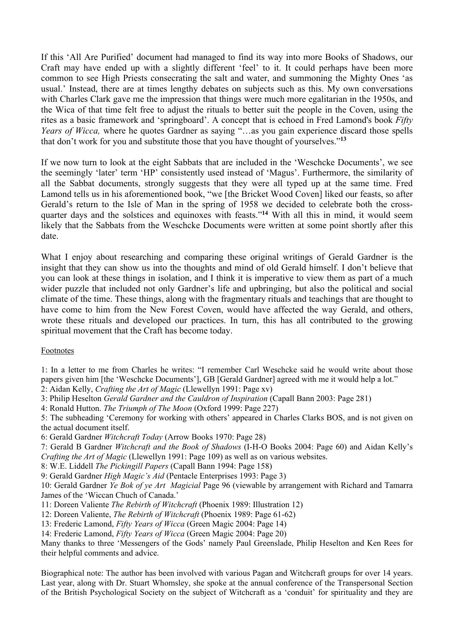If this 'All Are Purified' document had managed to find its way into more Books of Shadows, our Craft may have ended up with a slightly different 'feel' to it. It could perhaps have been more common to see High Priests consecrating the salt and water, and summoning the Mighty Ones 'as usual.' Instead, there are at times lengthy debates on subjects such as this. My own conversations with Charles Clark gave me the impression that things were much more egalitarian in the 1950s, and the Wica of that time felt free to adjust the rituals to better suit the people in the Coven, using the rites as a basic framework and 'springboard'. A concept that is echoed in Fred Lamond's book *Fifty Years of Wicca,* where he quotes Gardner as saying "…as you gain experience discard those spells that don't work for you and substitute those that you have thought of yourselves."**<sup>13</sup>**

If we now turn to look at the eight Sabbats that are included in the 'Weschcke Documents', we see the seemingly 'later' term 'HP' consistently used instead of 'Magus'. Furthermore, the similarity of all the Sabbat documents, strongly suggests that they were all typed up at the same time. Fred Lamond tells us in his aforementioned book, "we [the Bricket Wood Coven] liked our feasts, so after Gerald's return to the Isle of Man in the spring of 1958 we decided to celebrate both the crossquarter days and the solstices and equinoxes with feasts."**<sup>14</sup>** With all this in mind, it would seem likely that the Sabbats from the Weschcke Documents were written at some point shortly after this date.

What I enjoy about researching and comparing these original writings of Gerald Gardner is the insight that they can show us into the thoughts and mind of old Gerald himself. I don't believe that you can look at these things in isolation, and I think it is imperative to view them as part of a much wider puzzle that included not only Gardner's life and upbringing, but also the political and social climate of the time. These things, along with the fragmentary rituals and teachings that are thought to have come to him from the New Forest Coven, would have affected the way Gerald, and others, wrote these rituals and developed our practices. In turn, this has all contributed to the growing spiritual movement that the Craft has become today.

## Footnotes

1: In a letter to me from Charles he writes: "I remember Carl Weschcke said he would write about those papers given him [the 'Weschcke Documents'], GB [Gerald Gardner] agreed with me it would help a lot."

2: Aidan Kelly, *Crafting the Art of Magic* (Llewellyn 1991: Page xv)

3: Philip Heselton *Gerald Gardner and the Cauldron of Inspiration* (Capall Bann 2003: Page 281)

4: Ronald Hutton. *The Triumph of The Moon* (Oxford 1999: Page 227)

5: The subheading 'Ceremony for working with others' appeared in Charles Clarks BOS, and is not given on the actual document itself.

6: Gerald Gardner *Witchcraft Today* (Arrow Books 1970: Page 28)

7: Gerald B Gardner *Witchcraft and the Book of Shadows* (I-H-O Books 2004: Page 60) and Aidan Kelly's *Crafting the Art of Magic* (Llewellyn 1991: Page 109) as well as on various websites.

8: W.E. Liddell *The Pickingill Papers* (Capall Bann 1994: Page 158)

9: Gerald Gardner *High Magic's Aid* (Pentacle Enterprises 1993: Page 3)

10: Gerald Gardner *Ye Bok of ye Art Magicial* Page 96 (viewable by arrangement with Richard and Tamarra James of the 'Wiccan Chuch of Canada.'

11: Doreen Valiente *The Rebirth of Witchcraft* (Phoenix 1989: Illustration 12)

12: Doreen Valiente, *The Rebirth of Witchcraft* (Phoenix 1989: Page 61-62)

13: Frederic Lamond, *Fifty Years of Wicca* (Green Magic 2004: Page 14)

14: Frederic Lamond, *Fifty Years of Wicca* (Green Magic 2004: Page 20)

Many thanks to three 'Messengers of the Gods' namely Paul Greenslade, Philip Heselton and Ken Rees for their helpful comments and advice.

Biographical note: The author has been involved with various Pagan and Witchcraft groups for over 14 years. Last year, along with Dr. Stuart Whomsley, she spoke at the annual conference of the Transpersonal Section of the British Psychological Society on the subject of Witchcraft as a 'conduit' for spirituality and they are